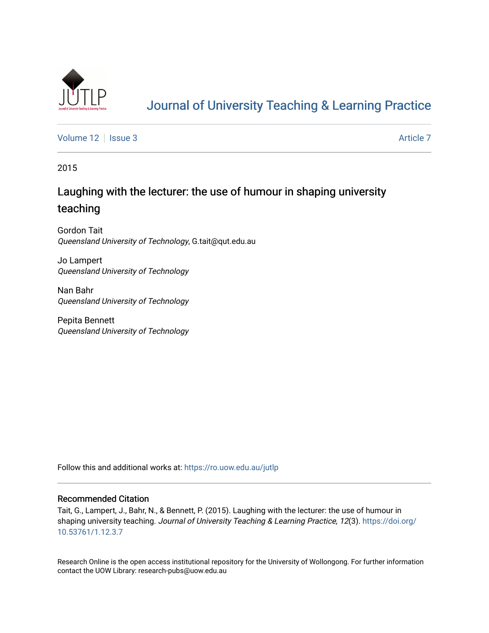

# [Journal of University Teaching & Learning Practice](https://ro.uow.edu.au/jutlp)

[Volume 12](https://ro.uow.edu.au/jutlp/vol12) | [Issue 3](https://ro.uow.edu.au/jutlp/vol12/iss3) Article 7

2015

# Laughing with the lecturer: the use of humour in shaping university teaching

Gordon Tait Queensland University of Technology, G.tait@qut.edu.au

Jo Lampert Queensland University of Technology

Nan Bahr Queensland University of Technology

Pepita Bennett Queensland University of Technology

Follow this and additional works at: [https://ro.uow.edu.au/jutlp](https://ro.uow.edu.au/jutlp?utm_source=ro.uow.edu.au%2Fjutlp%2Fvol12%2Fiss3%2F7&utm_medium=PDF&utm_campaign=PDFCoverPages) 

### Recommended Citation

Tait, G., Lampert, J., Bahr, N., & Bennett, P. (2015). Laughing with the lecturer: the use of humour in shaping university teaching. Journal of University Teaching & Learning Practice, 12(3). [https://doi.org/](https://doi.org/10.53761/1.12.3.7) [10.53761/1.12.3.7](https://doi.org/10.53761/1.12.3.7) 

Research Online is the open access institutional repository for the University of Wollongong. For further information contact the UOW Library: research-pubs@uow.edu.au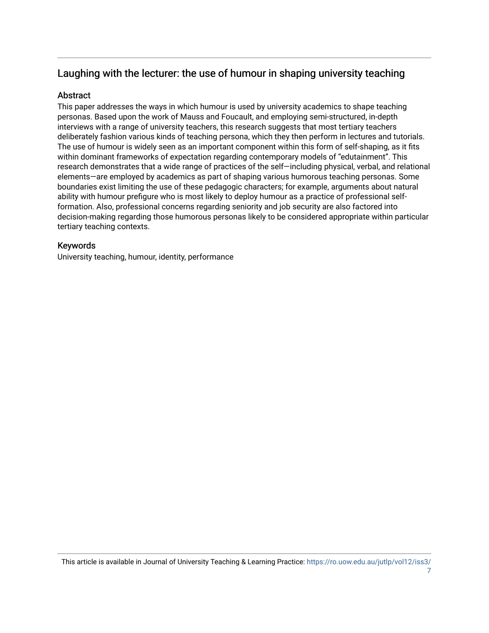# Laughing with the lecturer: the use of humour in shaping university teaching

## **Abstract**

This paper addresses the ways in which humour is used by university academics to shape teaching personas. Based upon the work of Mauss and Foucault, and employing semi-structured, in-depth interviews with a range of university teachers, this research suggests that most tertiary teachers deliberately fashion various kinds of teaching persona, which they then perform in lectures and tutorials. The use of humour is widely seen as an important component within this form of self-shaping, as it fits within dominant frameworks of expectation regarding contemporary models of "edutainment". This research demonstrates that a wide range of practices of the self—including physical, verbal, and relational elements—are employed by academics as part of shaping various humorous teaching personas. Some boundaries exist limiting the use of these pedagogic characters; for example, arguments about natural ability with humour prefigure who is most likely to deploy humour as a practice of professional selfformation. Also, professional concerns regarding seniority and job security are also factored into decision-making regarding those humorous personas likely to be considered appropriate within particular tertiary teaching contexts.

## Keywords

University teaching, humour, identity, performance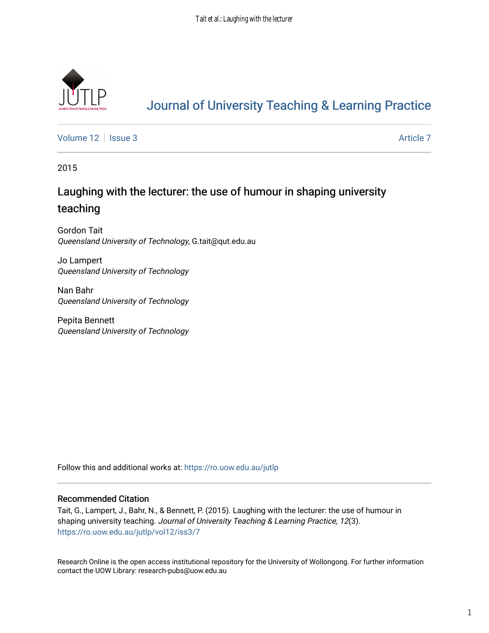

# [Journal of University Teaching & Learning Practice](https://ro.uow.edu.au/jutlp)

[Volume 12](https://ro.uow.edu.au/jutlp/vol12) | [Issue 3](https://ro.uow.edu.au/jutlp/vol12/iss3) Article 7

2015

# Laughing with the lecturer: the use of humour in shaping university teaching

Gordon Tait Queensland University of Technology, G.tait@qut.edu.au

Jo Lampert Queensland University of Technology

Nan Bahr Queensland University of Technology

Pepita Bennett Queensland University of Technology

Follow this and additional works at: [https://ro.uow.edu.au/jutlp](https://ro.uow.edu.au/jutlp?utm_source=ro.uow.edu.au%2Fjutlp%2Fvol12%2Fiss3%2F7&utm_medium=PDF&utm_campaign=PDFCoverPages) 

### Recommended Citation

Tait, G., Lampert, J., Bahr, N., & Bennett, P. (2015). Laughing with the lecturer: the use of humour in shaping university teaching. Journal of University Teaching & Learning Practice, 12(3). [https://ro.uow.edu.au/jutlp/vol12/iss3/7](https://ro.uow.edu.au/jutlp/vol12/iss3/7?utm_source=ro.uow.edu.au%2Fjutlp%2Fvol12%2Fiss3%2F7&utm_medium=PDF&utm_campaign=PDFCoverPages) 

Research Online is the open access institutional repository for the University of Wollongong. For further information contact the UOW Library: research-pubs@uow.edu.au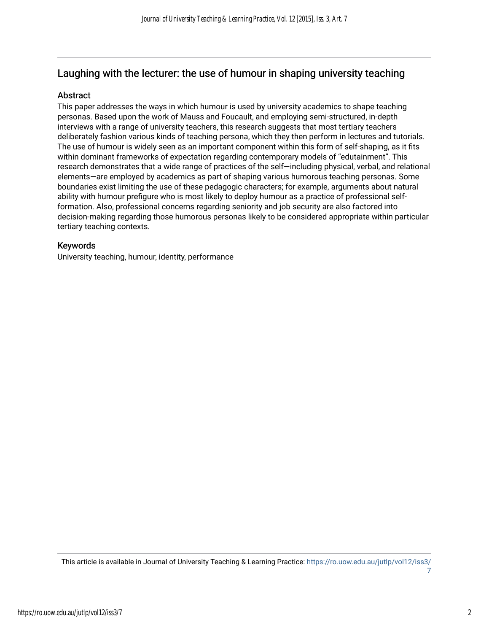# Laughing with the lecturer: the use of humour in shaping university teaching

## Abstract

This paper addresses the ways in which humour is used by university academics to shape teaching personas. Based upon the work of Mauss and Foucault, and employing semi-structured, in-depth interviews with a range of university teachers, this research suggests that most tertiary teachers deliberately fashion various kinds of teaching persona, which they then perform in lectures and tutorials. The use of humour is widely seen as an important component within this form of self-shaping, as it fits within dominant frameworks of expectation regarding contemporary models of "edutainment". This research demonstrates that a wide range of practices of the self—including physical, verbal, and relational elements—are employed by academics as part of shaping various humorous teaching personas. Some boundaries exist limiting the use of these pedagogic characters; for example, arguments about natural ability with humour prefigure who is most likely to deploy humour as a practice of professional selfformation. Also, professional concerns regarding seniority and job security are also factored into decision-making regarding those humorous personas likely to be considered appropriate within particular tertiary teaching contexts.

## Keywords

University teaching, humour, identity, performance

This article is available in Journal of University Teaching & Learning Practice: [https://ro.uow.edu.au/jutlp/vol12/iss3/](https://ro.uow.edu.au/jutlp/vol12/iss3/7)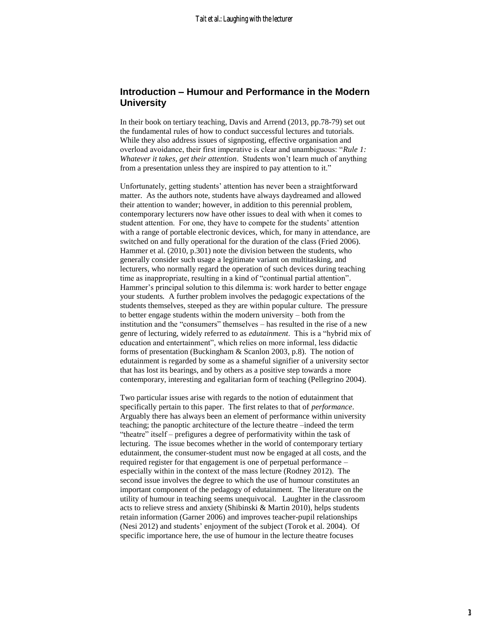## **Introduction – Humour and Performance in the Modern University**

In their book on tertiary teaching, Davis and Arrend (2013, pp.78-79) set out the fundamental rules of how to conduct successful lectures and tutorials. While they also address issues of signposting, effective organisation and overload avoidance, their first imperative is clear and unambiguous: "*Rule 1: Whatever it takes, get their attention*. Students won't learn much of anything from a presentation unless they are inspired to pay attention to it."

Unfortunately, getting students' attention has never been a straightforward matter. As the authors note, students have always daydreamed and allowed their attention to wander; however, in addition to this perennial problem, contemporary lecturers now have other issues to deal with when it comes to student attention. For one, they have to compete for the students' attention with a range of portable electronic devices, which, for many in attendance, are switched on and fully operational for the duration of the class (Fried 2006). Hammer et al. (2010, p.301) note the division between the students, who generally consider such usage a legitimate variant on multitasking, and lecturers, who normally regard the operation of such devices during teaching time as inappropriate, resulting in a kind of "continual partial attention". Hammer's principal solution to this dilemma is: work harder to better engage your students*.* A further problem involves the pedagogic expectations of the students themselves, steeped as they are within popular culture. The pressure to better engage students within the modern university – both from the institution and the "consumers" themselves – has resulted in the rise of a new genre of lecturing, widely referred to as *edutainment*. This is a "hybrid mix of education and entertainment", which relies on more informal, less didactic forms of presentation (Buckingham & Scanlon 2003, p.8). The notion of edutainment is regarded by some as a shameful signifier of a university sector that has lost its bearings, and by others as a positive step towards a more contemporary, interesting and egalitarian form of teaching (Pellegrino 2004).

Two particular issues arise with regards to the notion of edutainment that specifically pertain to this paper. The first relates to that of *performance*. Arguably there has always been an element of performance within university teaching; the panoptic architecture of the lecture theatre –indeed the term "theatre" itself – prefigures a degree of performativity within the task of lecturing. The issue becomes whether in the world of contemporary tertiary edutainment, the consumer-student must now be engaged at all costs, and the required register for that engagement is one of perpetual performance – especially within in the context of the mass lecture (Rodney 2012). The second issue involves the degree to which the use of humour constitutes an important component of the pedagogy of edutainment. The literature on the utility of humour in teaching seems unequivocal. Laughter in the classroom acts to relieve stress and anxiety (Shibinski & Martin 2010), helps students retain information (Garner 2006) and improves teacher-pupil relationships (Nesi 2012) and students' enjoyment of the subject (Torok et al. 2004). Of specific importance here, the use of humour in the lecture theatre focuses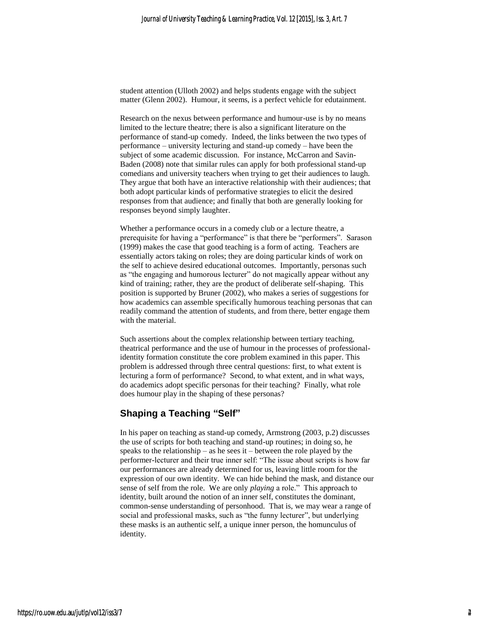student attention (Ulloth 2002) and helps students engage with the subject matter (Glenn 2002). Humour, it seems, is a perfect vehicle for edutainment.

Research on the nexus between performance and humour-use is by no means limited to the lecture theatre; there is also a significant literature on the performance of stand-up comedy. Indeed, the links between the two types of performance – university lecturing and stand-up comedy – have been the subject of some academic discussion. For instance, McCarron and Savin-Baden (2008) note that similar rules can apply for both professional stand-up comedians and university teachers when trying to get their audiences to laugh. They argue that both have an interactive relationship with their audiences; that both adopt particular kinds of performative strategies to elicit the desired responses from that audience; and finally that both are generally looking for responses beyond simply laughter.

Whether a performance occurs in a comedy club or a lecture theatre, a prerequisite for having a "performance" is that there be "performers". Sarason (1999) makes the case that good teaching is a form of acting. Teachers are essentially actors taking on roles; they are doing particular kinds of work on the self to achieve desired educational outcomes. Importantly, personas such as "the engaging and humorous lecturer" do not magically appear without any kind of training; rather, they are the product of deliberate self-shaping. This position is supported by Bruner (2002), who makes a series of suggestions for how academics can assemble specifically humorous teaching personas that can readily command the attention of students, and from there, better engage them with the material.

Such assertions about the complex relationship between tertiary teaching, theatrical performance and the use of humour in the processes of professionalidentity formation constitute the core problem examined in this paper. This problem is addressed through three central questions: first, to what extent is lecturing a form of performance? Second, to what extent, and in what ways, do academics adopt specific personas for their teaching? Finally, what role does humour play in the shaping of these personas?

## **Shaping a Teaching "Self"**

In his paper on teaching as stand-up comedy, Armstrong (2003, p.2) discusses the use of scripts for both teaching and stand-up routines; in doing so, he speaks to the relationship – as he sees it – between the role played by the performer-lecturer and their true inner self: "The issue about scripts is how far our performances are already determined for us, leaving little room for the expression of our own identity. We can hide behind the mask, and distance our sense of self from the role. We are only *playing* a role." This approach to identity, built around the notion of an inner self, constitutes the dominant, common-sense understanding of personhood. That is, we may wear a range of social and professional masks, such as "the funny lecturer", but underlying these masks is an authentic self, a unique inner person, the homunculus of identity.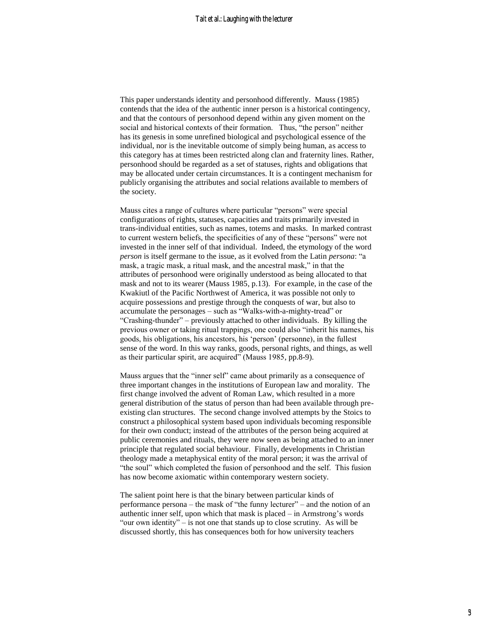This paper understands identity and personhood differently. Mauss (1985) contends that the idea of the authentic inner person is a historical contingency, and that the contours of personhood depend within any given moment on the social and historical contexts of their formation. Thus, "the person" neither has its genesis in some unrefined biological and psychological essence of the individual, nor is the inevitable outcome of simply being human, as access to this category has at times been restricted along clan and fraternity lines. Rather, personhood should be regarded as a set of statuses, rights and obligations that may be allocated under certain circumstances. It is a contingent mechanism for publicly organising the attributes and social relations available to members of the society.

Mauss cites a range of cultures where particular "persons" were special configurations of rights, statuses, capacities and traits primarily invested in trans-individual entities, such as names, totems and masks. In marked contrast to current western beliefs, the specificities of any of these "persons" were not invested in the inner self of that individual. Indeed, the etymology of the word *person* is itself germane to the issue, as it evolved from the Latin *persona*: "a mask, a tragic mask, a ritual mask, and the ancestral mask," in that the attributes of personhood were originally understood as being allocated to that mask and not to its wearer (Mauss 1985, p.13). For example, in the case of the Kwakiutl of the Pacific Northwest of America, it was possible not only to acquire possessions and prestige through the conquests of war, but also to accumulate the personages – such as "Walks-with-a-mighty-tread" or "Crashing-thunder" – previously attached to other individuals. By killing the previous owner or taking ritual trappings, one could also "inherit his names, his goods, his obligations, his ancestors, his 'person' (personne), in the fullest sense of the word. In this way ranks, goods, personal rights, and things, as well as their particular spirit, are acquired" (Mauss 1985, pp.8-9).

Mauss argues that the "inner self" came about primarily as a consequence of three important changes in the institutions of European law and morality. The first change involved the advent of Roman Law, which resulted in a more general distribution of the status of person than had been available through preexisting clan structures. The second change involved attempts by the Stoics to construct a philosophical system based upon individuals becoming responsible for their own conduct; instead of the attributes of the person being acquired at public ceremonies and rituals, they were now seen as being attached to an inner principle that regulated social behaviour. Finally, developments in Christian theology made a metaphysical entity of the moral person; it was the arrival of "the soul" which completed the fusion of personhood and the self. This fusion has now become axiomatic within contemporary western society.

The salient point here is that the binary between particular kinds of performance persona – the mask of "the funny lecturer" – and the notion of an authentic inner self, upon which that mask is placed – in Armstrong's words "our own identity" – is not one that stands up to close scrutiny. As will be discussed shortly, this has consequences both for how university teachers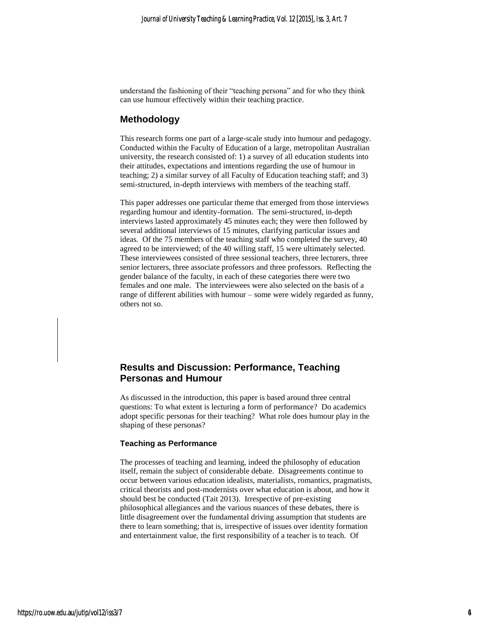understand the fashioning of their "teaching persona" and for who they think can use humour effectively within their teaching practice.

### **Methodology**

This research forms one part of a large-scale study into humour and pedagogy. Conducted within the Faculty of Education of a large, metropolitan Australian university, the research consisted of: 1) a survey of all education students into their attitudes, expectations and intentions regarding the use of humour in teaching; 2) a similar survey of all Faculty of Education teaching staff; and 3) semi-structured, in-depth interviews with members of the teaching staff.

This paper addresses one particular theme that emerged from those interviews regarding humour and identity-formation. The semi-structured, in-depth interviews lasted approximately 45 minutes each; they were then followed by several additional interviews of 15 minutes, clarifying particular issues and ideas. Of the 75 members of the teaching staff who completed the survey, 40 agreed to be interviewed; of the 40 willing staff, 15 were ultimately selected. These interviewees consisted of three sessional teachers, three lecturers, three senior lecturers, three associate professors and three professors. Reflecting the gender balance of the faculty, in each of these categories there were two females and one male. The interviewees were also selected on the basis of a range of different abilities with humour – some were widely regarded as funny, others not so.

## **Results and Discussion: Performance, Teaching Personas and Humour**

As discussed in the introduction, this paper is based around three central questions: To what extent is lecturing a form of performance? Do academics adopt specific personas for their teaching? What role does humour play in the shaping of these personas?

#### **Teaching as Performance**

The processes of teaching and learning, indeed the philosophy of education itself, remain the subject of considerable debate. Disagreements continue to occur between various education idealists, materialists, romantics, pragmatists, critical theorists and post-modernists over what education is about, and how it should best be conducted (Tait 2013). Irrespective of pre-existing philosophical allegiances and the various nuances of these debates, there is little disagreement over the fundamental driving assumption that students are there to learn something; that is, irrespective of issues over identity formation and entertainment value, the first responsibility of a teacher is to teach. Of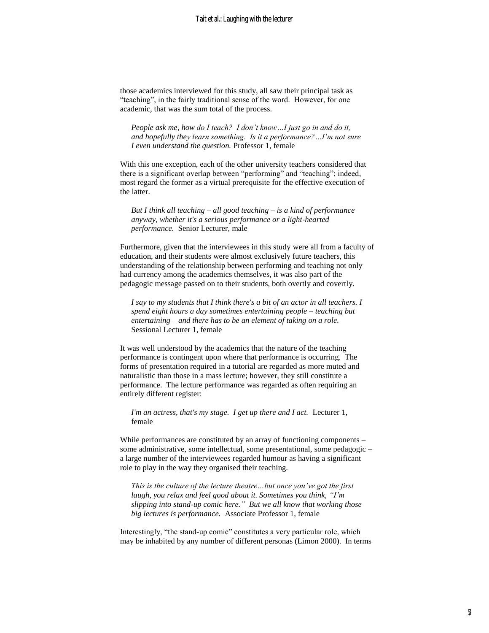those academics interviewed for this study, all saw their principal task as "teaching", in the fairly traditional sense of the word. However, for one academic, that was the sum total of the process.

*People ask me, how do I teach? I don't know…I just go in and do it, and hopefully they learn something. Is it a performance?…I'm not sure I even understand the question.* Professor 1, female

With this one exception, each of the other university teachers considered that there is a significant overlap between "performing" and "teaching"; indeed, most regard the former as a virtual prerequisite for the effective execution of the latter.

*But I think all teaching – all good teaching – is a kind of performance anyway, whether it's a serious performance or a light-hearted performance.* Senior Lecturer, male

Furthermore, given that the interviewees in this study were all from a faculty of education, and their students were almost exclusively future teachers, this understanding of the relationship between performing and teaching not only had currency among the academics themselves, it was also part of the pedagogic message passed on to their students, both overtly and covertly.

*I say to my students that I think there's a bit of an actor in all teachers. I spend eight hours a day sometimes entertaining people – teaching but entertaining – and there has to be an element of taking on a role.* Sessional Lecturer 1, female

It was well understood by the academics that the nature of the teaching performance is contingent upon where that performance is occurring. The forms of presentation required in a tutorial are regarded as more muted and naturalistic than those in a mass lecture; however, they still constitute a performance. The lecture performance was regarded as often requiring an entirely different register:

*I'm an actress, that's my stage. I get up there and I act. Lecturer 1,* female

While performances are constituted by an array of functioning components – some administrative, some intellectual, some presentational, some pedagogic – a large number of the interviewees regarded humour as having a significant role to play in the way they organised their teaching.

*This is the culture of the lecture theatre…but once you've got the first laugh, you relax and feel good about it. Sometimes you think, "I'm slipping into stand-up comic here." But we all know that working those big lectures is performance.* Associate Professor 1, female

Interestingly, "the stand-up comic" constitutes a very particular role, which may be inhabited by any number of different personas (Limon 2000). In terms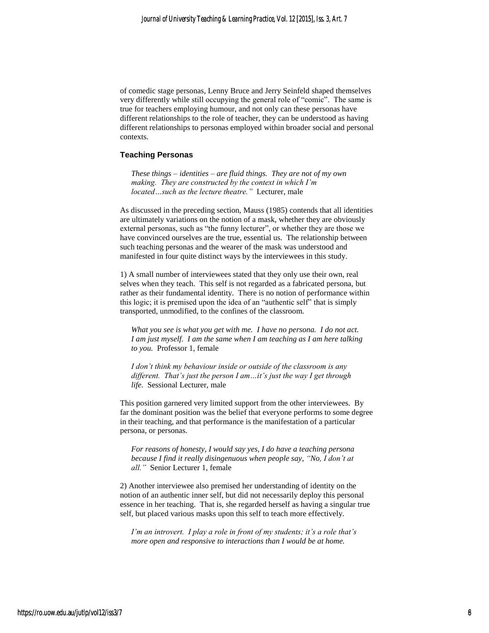of comedic stage personas, Lenny Bruce and Jerry Seinfeld shaped themselves very differently while still occupying the general role of "comic". The same is true for teachers employing humour, and not only can these personas have different relationships to the role of teacher, they can be understood as having different relationships to personas employed within broader social and personal contexts.

#### **Teaching Personas**

*These things – identities – are fluid things. They are not of my own making. They are constructed by the context in which I'm located…such as the lecture theatre."* Lecturer, male

As discussed in the preceding section, Mauss (1985) contends that all identities are ultimately variations on the notion of a mask, whether they are obviously external personas, such as "the funny lecturer", or whether they are those we have convinced ourselves are the true, essential us. The relationship between such teaching personas and the wearer of the mask was understood and manifested in four quite distinct ways by the interviewees in this study.

1) A small number of interviewees stated that they only use their own, real selves when they teach. This self is not regarded as a fabricated persona, but rather as their fundamental identity. There is no notion of performance within this logic; it is premised upon the idea of an "authentic self" that is simply transported, unmodified, to the confines of the classroom.

*What you see is what you get with me. I have no persona. I do not act. I am just myself. I am the same when I am teaching as I am here talking to you.* Professor 1, female

*I don't think my behaviour inside or outside of the classroom is any different. That's just the person I am…it's just the way I get through life.* Sessional Lecturer, male

This position garnered very limited support from the other interviewees. By far the dominant position was the belief that everyone performs to some degree in their teaching, and that performance is the manifestation of a particular persona, or personas.

*For reasons of honesty, I would say yes, I do have a teaching persona because I find it really disingenuous when people say, "No, I don't at all."* Senior Lecturer 1, female

2) Another interviewee also premised her understanding of identity on the notion of an authentic inner self, but did not necessarily deploy this personal essence in her teaching. That is, she regarded herself as having a singular true self, but placed various masks upon this self to teach more effectively.

*I'm an introvert. I play a role in front of my students; it's a role that's more open and responsive to interactions than I would be at home.*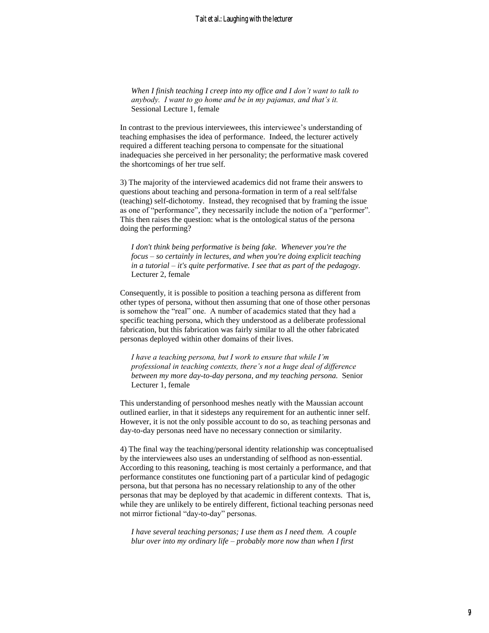*When I finish teaching I creep into my office and I don't want to talk to anybody. I want to go home and be in my pajamas, and that's it.* Sessional Lecture 1, female

In contrast to the previous interviewees, this interviewee's understanding of teaching emphasises the idea of performance. Indeed, the lecturer actively required a different teaching persona to compensate for the situational inadequacies she perceived in her personality; the performative mask covered the shortcomings of her true self.

3) The majority of the interviewed academics did not frame their answers to questions about teaching and persona-formation in term of a real self/false (teaching) self-dichotomy. Instead, they recognised that by framing the issue as one of "performance", they necessarily include the notion of a "performer". This then raises the question: what is the ontological status of the persona doing the performing?

*I don't think being performative is being fake. Whenever you're the focus – so certainly in lectures, and when you're doing explicit teaching in a tutorial – it's quite performative. I see that as part of the pedagogy.*  Lecturer 2, female

Consequently, it is possible to position a teaching persona as different from other types of persona, without then assuming that one of those other personas is somehow the "real" one. A number of academics stated that they had a specific teaching persona, which they understood as a deliberate professional fabrication, but this fabrication was fairly similar to all the other fabricated personas deployed within other domains of their lives.

*I have a teaching persona, but I work to ensure that while I'm professional in teaching contexts, there's not a huge deal of difference between my more day-to-day persona, and my teaching persona.* Senior Lecturer 1, female

This understanding of personhood meshes neatly with the Maussian account outlined earlier, in that it sidesteps any requirement for an authentic inner self. However, it is not the only possible account to do so, as teaching personas and day-to-day personas need have no necessary connection or similarity.

4) The final way the teaching/personal identity relationship was conceptualised by the interviewees also uses an understanding of selfhood as non-essential. According to this reasoning, teaching is most certainly a performance, and that performance constitutes one functioning part of a particular kind of pedagogic persona, but that persona has no necessary relationship to any of the other personas that may be deployed by that academic in different contexts. That is, while they are unlikely to be entirely different, fictional teaching personas need not mirror fictional "day-to-day" personas.

*I have several teaching personas; I use them as I need them. A couple blur over into my ordinary life – probably more now than when I first*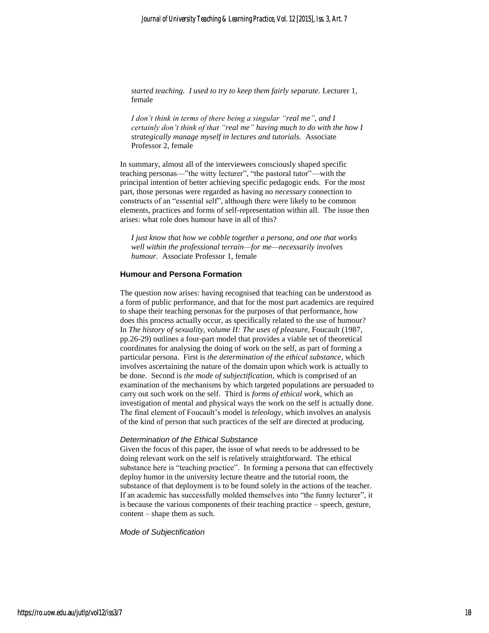*started teaching. I used to try to keep them fairly separate.* Lecturer 1, female

*I don't think in terms of there being a singular "real me", and I certainly don't think of that "real me" having much to do with the how I strategically manage myself in lectures and tutorials.* Associate Professor 2, female

In summary, almost all of the interviewees consciously shaped specific teaching personas—"the witty lecturer", "the pastoral tutor"—with the principal intention of better achieving specific pedagogic ends. For the most part, those personas were regarded as having no *necessary* connection to constructs of an "essential self", although there were likely to be common elements, practices and forms of self-representation within all. The issue then arises: what role does humour have in all of this?

*I just know that how we cobble together a persona, and one that works well within the professional terrain—for me—necessarily involves humour.* Associate Professor 1, female

#### **Humour and Persona Formation**

The question now arises: having recognised that teaching can be understood as a form of public performance, and that for the most part academics are required to shape their teaching personas for the purposes of that performance, how does this process actually occur, as specifically related to the use of humour? In *The history of sexuality, volume II: The uses of pleasure, Foucault (1987,* pp.26-29) outlines a four-part model that provides a viable set of theoretical coordinates for analysing the doing of work on the self, as part of forming a particular persona. First is *the determination of the ethical substance*, which involves ascertaining the nature of the domain upon which work is actually to be done. Second is *the mode of subjectification,* which is comprised of an examination of the mechanisms by which targeted populations are persuaded to carry out such work on the self. Third is *forms of ethical work*, which an investigation of mental and physical ways the work on the self is actually done. The final element of Foucault's model is *teleology*, which involves an analysis of the kind of person that such practices of the self are directed at producing.

#### *Determination of the Ethical Substance*

Given the focus of this paper, the issue of what needs to be addressed to be doing relevant work on the self is relatively straightforward. The ethical substance here is "teaching practice". In forming a persona that can effectively deploy humor in the university lecture theatre and the tutorial room, the substance of that deployment is to be found solely in the actions of the teacher. If an academic has successfully molded themselves into "the funny lecturer", it is because the various components of their teaching practice – speech, gesture, content – shape them as such.

#### *Mode of Subjectification*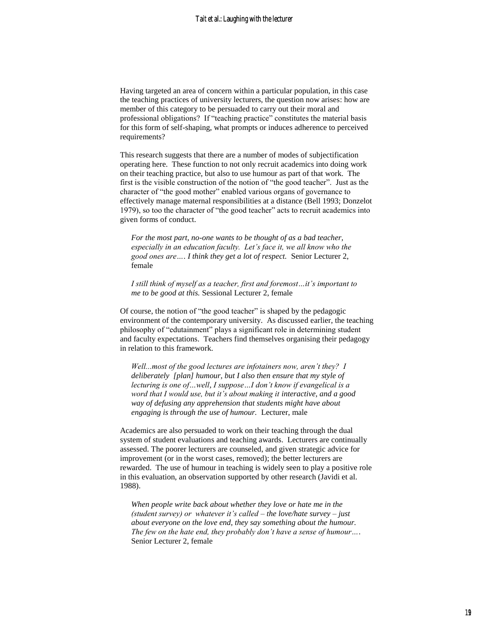Having targeted an area of concern within a particular population, in this case the teaching practices of university lecturers, the question now arises: how are member of this category to be persuaded to carry out their moral and professional obligations? If "teaching practice" constitutes the material basis for this form of self-shaping, what prompts or induces adherence to perceived requirements?

This research suggests that there are a number of modes of subjectification operating here. These function to not only recruit academics into doing work on their teaching practice, but also to use humour as part of that work. The first is the visible construction of the notion of "the good teacher". Just as the character of "the good mother" enabled various organs of governance to effectively manage maternal responsibilities at a distance (Bell 1993; Donzelot 1979), so too the character of "the good teacher" acts to recruit academics into given forms of conduct.

*For the most part, no-one wants to be thought of as a bad teacher, especially in an education faculty. Let's face it, we all know who the good ones are…. I think they get a lot of respect.* Senior Lecturer 2, female

*I still think of myself as a teacher, first and foremost…it's important to me to be good at this.* Sessional Lecturer 2, female

Of course, the notion of "the good teacher" is shaped by the pedagogic environment of the contemporary university. As discussed earlier, the teaching philosophy of "edutainment" plays a significant role in determining student and faculty expectations. Teachers find themselves organising their pedagogy in relation to this framework.

*Well...most of the good lectures are infotainers now, aren't they? I deliberately [plan] humour, but I also then ensure that my style of lecturing is one of…well, I suppose…I don't know if evangelical is a word that I would use, but it's about making it interactive, and a good way of defusing any apprehension that students might have about engaging is through the use of humour.* Lecturer, male

Academics are also persuaded to work on their teaching through the dual system of student evaluations and teaching awards. Lecturers are continually assessed. The poorer lecturers are counseled, and given strategic advice for improvement (or in the worst cases, removed); the better lecturers are rewarded. The use of humour in teaching is widely seen to play a positive role in this evaluation, an observation supported by other research (Javidi et al. 1988).

*When people write back about whether they love or hate me in the (student survey) or whatever it's called – the love/hate survey – just about everyone on the love end, they say something about the humour. The few on the hate end, they probably don't have a sense of humour….* Senior Lecturer 2, female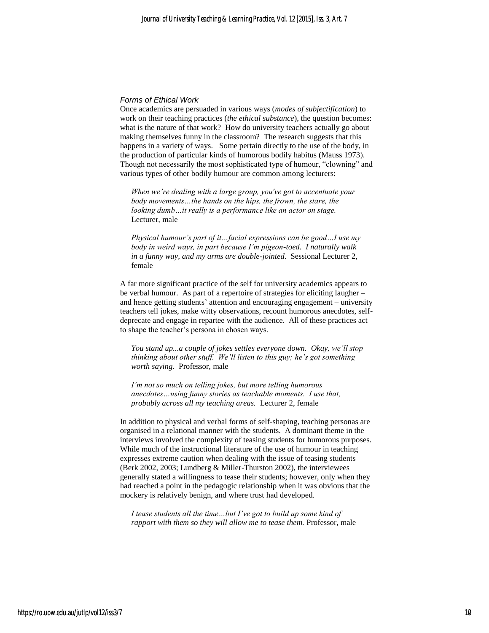#### *Forms of Ethical Work*

Once academics are persuaded in various ways (*modes of subjectification*) to work on their teaching practices (*the ethical substance*), the question becomes: what is the nature of that work? How do university teachers actually go about making themselves funny in the classroom? The research suggests that this happens in a variety of ways. Some pertain directly to the use of the body, in the production of particular kinds of humorous bodily habitus (Mauss 1973). Though not necessarily the most sophisticated type of humour, "clowning" and various types of other bodily humour are common among lecturers:

*When we're dealing with a large group, you've got to accentuate your body movements…the hands on the hips, the frown, the stare, the looking dumb…it really is a performance like an actor on stage.*  Lecturer, male

*Physical humour's part of it…facial expressions can be good…I use my body in weird ways, in part because I'm pigeon-toed. I naturally walk in a funny way, and my arms are double-jointed.* Sessional Lecturer 2, female

A far more significant practice of the self for university academics appears to be verbal humour. As part of a repertoire of strategies for eliciting laugher – and hence getting students' attention and encouraging engagement – university teachers tell jokes, make witty observations, recount humorous anecdotes, selfdeprecate and engage in repartee with the audience. All of these practices act to shape the teacher's persona in chosen ways.

*You stand up...a couple of jokes settles everyone down. Okay, we'll stop thinking about other stuff. We'll listen to this guy; he's got something worth saying.* Professor, male

*I'm not so much on telling jokes, but more telling humorous anecdotes…using funny stories as teachable moments. I use that, probably across all my teaching areas.* Lecturer 2, female

In addition to physical and verbal forms of self-shaping, teaching personas are organised in a relational manner with the students. A dominant theme in the interviews involved the complexity of teasing students for humorous purposes. While much of the instructional literature of the use of humour in teaching expresses extreme caution when dealing with the issue of teasing students (Berk 2002, 2003; Lundberg & Miller-Thurston 2002), the interviewees generally stated a willingness to tease their students; however, only when they had reached a point in the pedagogic relationship when it was obvious that the mockery is relatively benign, and where trust had developed.

*I tease students all the time…but I've got to build up some kind of rapport with them so they will allow me to tease them.* Professor, male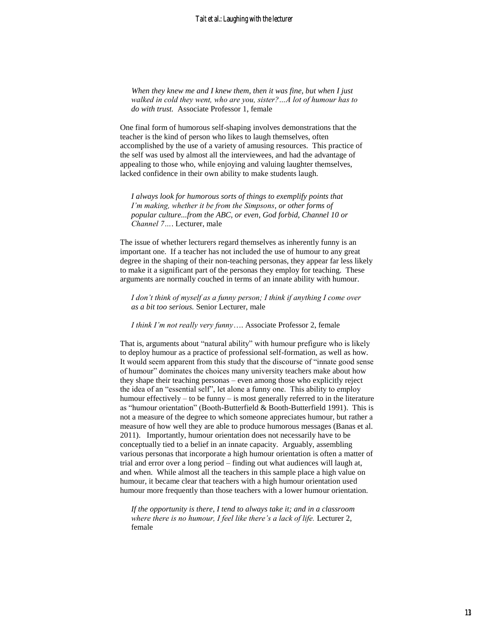*When they knew me and I knew them, then it was fine, but when I just walked in cold they went, who are you, sister?…A lot of humour has to do with trust.* Associate Professor 1, female

One final form of humorous self-shaping involves demonstrations that the teacher is the kind of person who likes to laugh themselves, often accomplished by the use of a variety of amusing resources. This practice of the self was used by almost all the interviewees, and had the advantage of appealing to those who, while enjoying and valuing laughter themselves, lacked confidence in their own ability to make students laugh.

*I always look for humorous sorts of things to exemplify points that I'm making, whether it be from the Simpsons, or other forms of popular culture...from the ABC, or even, God forbid, Channel 10 or Channel 7…*. Lecturer, male

The issue of whether lecturers regard themselves as inherently funny is an important one. If a teacher has not included the use of humour to any great degree in the shaping of their non-teaching personas, they appear far less likely to make it a significant part of the personas they employ for teaching. These arguments are normally couched in terms of an innate ability with humour.

*I don't think of myself as a funny person; I think if anything I come over as a bit too serious.* Senior Lecturer, male

*I think I'm not really very funny*…. Associate Professor 2, female

That is, arguments about "natural ability" with humour prefigure who is likely to deploy humour as a practice of professional self-formation, as well as how. It would seem apparent from this study that the discourse of "innate good sense of humour" dominates the choices many university teachers make about how they shape their teaching personas – even among those who explicitly reject the idea of an "essential self", let alone a funny one. This ability to employ humour effectively – to be funny – is most generally referred to in the literature as "humour orientation" (Booth-Butterfield & Booth-Butterfield 1991). This is not a measure of the degree to which someone appreciates humour, but rather a measure of how well they are able to produce humorous messages (Banas et al. 2011). Importantly, humour orientation does not necessarily have to be conceptually tied to a belief in an innate capacity. Arguably, assembling various personas that incorporate a high humour orientation is often a matter of trial and error over a long period – finding out what audiences will laugh at, and when. While almost all the teachers in this sample place a high value on humour, it became clear that teachers with a high humour orientation used humour more frequently than those teachers with a lower humour orientation.

*If the opportunity is there, I tend to always take it; and in a classroom where there is no humour, I feel like there's a lack of life.* Lecturer 2, female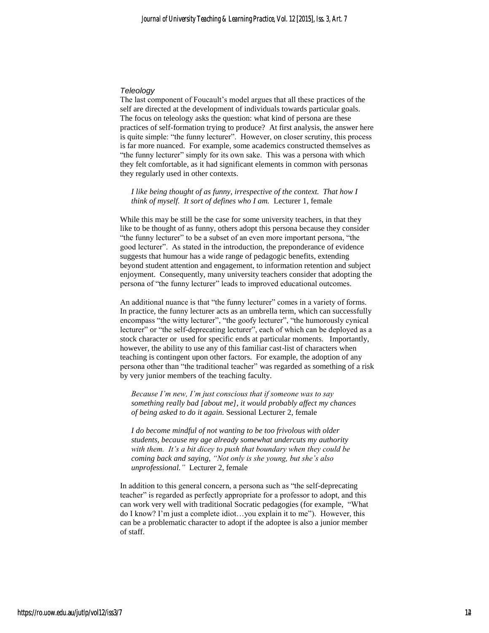#### *Teleology*

The last component of Foucault's model argues that all these practices of the self are directed at the development of individuals towards particular goals. The focus on teleology asks the question: what kind of persona are these practices of self-formation trying to produce? At first analysis, the answer here is quite simple: "the funny lecturer". However, on closer scrutiny, this process is far more nuanced.For example, some academics constructed themselves as "the funny lecturer" simply for its own sake. This was a persona with which they felt comfortable, as it had significant elements in common with personas they regularly used in other contexts.

*I like being thought of as funny, irrespective of the context. That how I think of myself. It sort of defines who I am.* Lecturer 1, female

While this may be still be the case for some university teachers, in that they like to be thought of as funny, others adopt this persona because they consider "the funny lecturer" to be a subset of an even more important persona, "the good lecturer". As stated in the introduction, the preponderance of evidence suggests that humour has a wide range of pedagogic benefits, extending beyond student attention and engagement, to information retention and subject enjoyment. Consequently, many university teachers consider that adopting the persona of "the funny lecturer" leads to improved educational outcomes.

An additional nuance is that "the funny lecturer" comes in a variety of forms. In practice, the funny lecturer acts as an umbrella term, which can successfully encompass "the witty lecturer", "the goofy lecturer", "the humorously cynical lecturer" or "the self-deprecating lecturer", each of which can be deployed as a stock character or used for specific ends at particular moments. Importantly, however, the ability to use any of this familiar cast-list of characters when teaching is contingent upon other factors. For example, the adoption of any persona other than "the traditional teacher" was regarded as something of a risk by very junior members of the teaching faculty.

*Because I'm new, I'm just conscious that if someone was to say something really bad [about me]*, *it would probably affect my chances of being asked to do it again.* Sessional Lecturer 2, female

*I do become mindful of not wanting to be too frivolous with older students, because my age already somewhat undercuts my authority with them. It's a bit dicey to push that boundary when they could be coming back and saying, "Not only is she young, but she's also unprofessional."* Lecturer 2, female

In addition to this general concern, a persona such as "the self-deprecating teacher" is regarded as perfectly appropriate for a professor to adopt, and this can work very well with traditional Socratic pedagogies (for example, "What do I know? I'm just a complete idiot…you explain it to me"). However, this can be a problematic character to adopt if the adoptee is also a junior member of staff.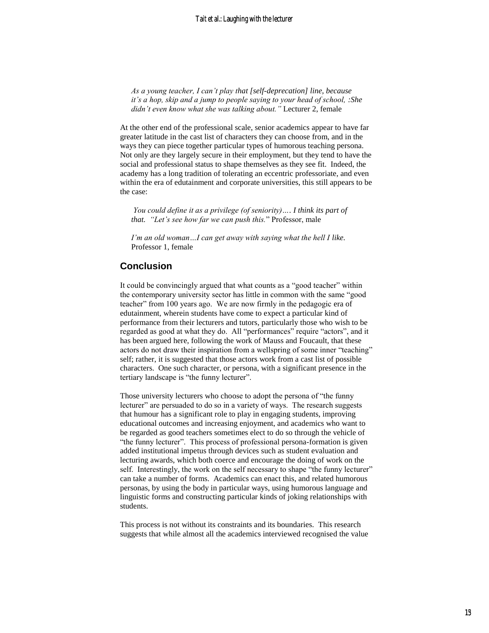*As a young teacher, I can't play that [self-deprecation] line, because it's a hop, skip and a jump to people saying to your head of school, :She didn't even know what she was talking about."* Lecturer 2, female

At the other end of the professional scale, senior academics appear to have far greater latitude in the cast list of characters they can choose from, and in the ways they can piece together particular types of humorous teaching persona. Not only are they largely secure in their employment, but they tend to have the social and professional status to shape themselves as they see fit. Indeed, the academy has a long tradition of tolerating an eccentric professoriate, and even within the era of edutainment and corporate universities, this still appears to be the case:

*You could define it as a privilege (of seniority)…. I think its part of that. "Let's see how far we can push this.*" Professor, male

*I'm an old woman…I can get away with saying what the hell I like.*  Professor 1, female

### **Conclusion**

It could be convincingly argued that what counts as a "good teacher" within the contemporary university sector has little in common with the same "good teacher" from 100 years ago. We are now firmly in the pedagogic era of edutainment, wherein students have come to expect a particular kind of performance from their lecturers and tutors, particularly those who wish to be regarded as good at what they do. All "performances" require "actors", and it has been argued here, following the work of Mauss and Foucault, that these actors do not draw their inspiration from a wellspring of some inner "teaching" self; rather, it is suggested that those actors work from a cast list of possible characters. One such character, or persona, with a significant presence in the tertiary landscape is "the funny lecturer".

Those university lecturers who choose to adopt the persona of "the funny lecturer" are persuaded to do so in a variety of ways. The research suggests that humour has a significant role to play in engaging students, improving educational outcomes and increasing enjoyment, and academics who want to be regarded as good teachers sometimes elect to do so through the vehicle of "the funny lecturer". This process of professional persona-formation is given added institutional impetus through devices such as student evaluation and lecturing awards, which both coerce and encourage the doing of work on the self. Interestingly, the work on the self necessary to shape "the funny lecturer" can take a number of forms. Academics can enact this, and related humorous personas, by using the body in particular ways, using humorous language and linguistic forms and constructing particular kinds of joking relationships with students.

This process is not without its constraints and its boundaries. This research suggests that while almost all the academics interviewed recognised the value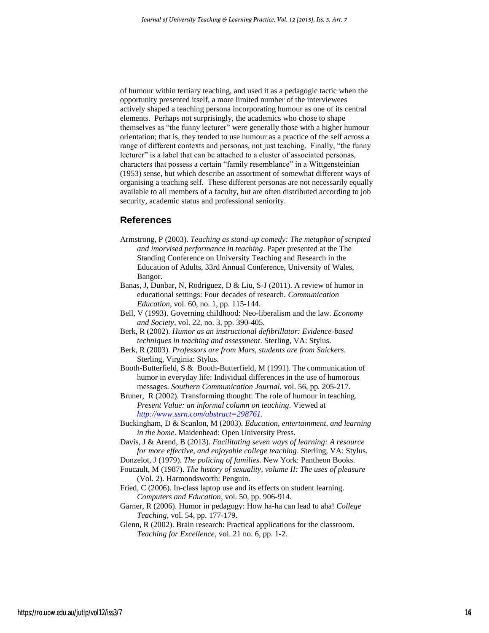of humour within tertiary teaching, and used it as a pedagogic tactic when the opportunity presented itself, a more limited number of the interviewees actively shaped a teaching persona incorporating humour as one of its central elements. Perhaps not surprisingly, the academics who chose to shape themselves as "the funny lecturer" were generally those with a higher humour orientation; that is, they tended to use humour as a practice of the self across a range of different contexts and personas, not just teaching. Finally, "the funny lecturer" is a label that can be attached to a cluster of associated personas, characters that possess a certain "family resemblance" in a Wittgensteinian (1953) sense, but which describe an assortment of somewhat different ways of organising a teaching self. These different personas are not necessarily equally available to all members of a faculty, but are often distributed according to job security, academic status and professional seniority.

### **References**

- Armstrong, P (2003). *Teaching as stand-up comedy: The metaphor of scripted and imorvised performance in teaching*. Paper presented at the The Standing Conference on University Teaching and Research in the Education of Adults, 33rd Annual Conference, University of Wales, Bangor.
- Banas, J, Dunbar, N, Rodriguez, D & Liu, S-J (2011). A review of humor in educational settings: Four decades of research. *Communication Education*, vol. 60, no. 1, pp. 115-144.
- Bell, V (1993). Governing childhood: Neo-liberalism and the law. *Economy and Society*, vol. 22, no. 3, pp. 390-405.
- Berk, R (2002). *Humor as an instructional defibrillator: Evidence-based techniques in teaching and assessment*. Sterling, VA: Stylus.
- Berk, R (2003). *Professors are from Mars, students are from Snickers*. Sterling, Virginia: Stylus.
- Booth-Butterfield, S & Booth-Butterfield, M (1991). The communication of humor in everyday life: Individual differences in the use of humorous messages. *Southern Communication Journal*, vol. 56, pp*.* 205-217.

Bruner, R (2002). Transforming thought: The role of humour in teaching. *Present Value: an informal column on teaching.* Viewed at *[http://www.ssrn.com/abstract=298761.](http://www.ssrn.com/abstract=298761)* 

- Buckingham, D & Scanlon, M (2003). *Education, entertainment, and learning in the home*. Maidenhead: Open University Press.
- Davis, J & Arend, B (2013). *Facilitating seven ways of learning: A resource for more effective, and enjoyable college teaching*. Sterling, VA: Stylus.
- Donzelot, J (1979). *The policing of families*. New York: Pantheon Books.
- Foucault, M (1987). *The history of sexuality, volume II: The uses of pleasure* (Vol. 2). Harmondsworth: Penguin.
- Fried, C (2006). In-class laptop use and its effects on student learning. *Computers and Education*, vol. 50, pp. 906-914.
- Garner, R (2006). Humor in pedagogy: How ha-ha can lead to aha! *College Teaching*, vol. 54, pp. 177-179.

Glenn, R (2002). Brain research: Practical applications for the classroom. *Teaching for Excellence*, vol. 21 no. 6, pp. 1-2.